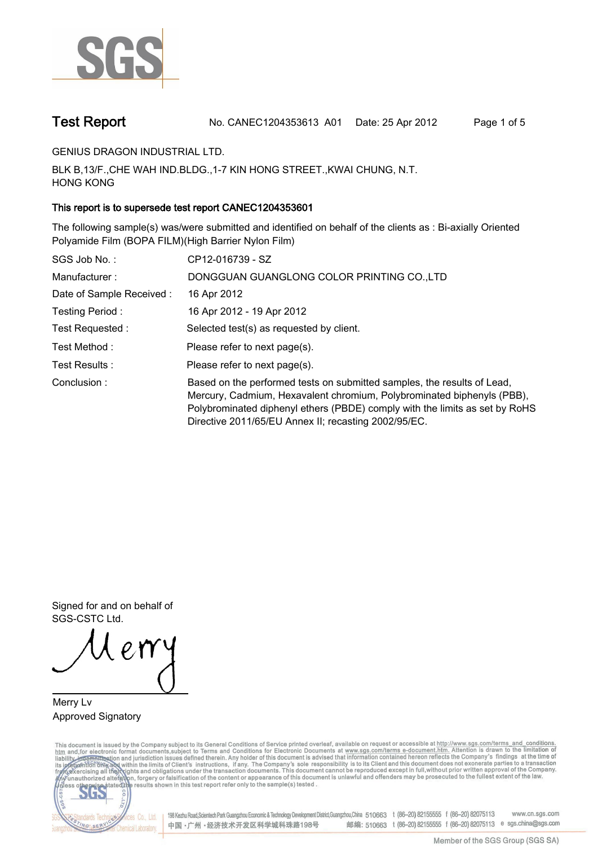

**Test Report. No. CANEC1204353613 A01 Date: 25 Apr 2012. Page 1 of 5.**

**GENIUS DRAGON INDUSTRIAL LTD..**

**BLK B,13/F.,CHE WAH IND.BLDG.,1-7 KIN HONG STREET.,KWAI CHUNG, N.T. HONG KONG.**

## **This report is to supersede test report CANEC1204353601.**

**The following sample(s) was/were submitted and identified on behalf of the clients as : Bi-axially Oriented Polyamide Film (BOPA FILM)(High Barrier Nylon Film).**

| SGS Job No.:             | CP12-016739 - SZ                                                                                                                                                                                                                                                                         |
|--------------------------|------------------------------------------------------------------------------------------------------------------------------------------------------------------------------------------------------------------------------------------------------------------------------------------|
| Manufacturer:            | DONGGUAN GUANGLONG COLOR PRINTING CO., LTD                                                                                                                                                                                                                                               |
| Date of Sample Received: | 16 Apr 2012                                                                                                                                                                                                                                                                              |
| Testing Period:          | 16 Apr 2012 - 19 Apr 2012                                                                                                                                                                                                                                                                |
| Test Requested:          | Selected test(s) as requested by client.                                                                                                                                                                                                                                                 |
| Test Method :            | Please refer to next page(s).                                                                                                                                                                                                                                                            |
| Test Results :           | Please refer to next page(s).                                                                                                                                                                                                                                                            |
| Conclusion:              | Based on the performed tests on submitted samples, the results of Lead,<br>Mercury, Cadmium, Hexavalent chromium, Polybrominated biphenyls (PBB),<br>Polybrominated diphenyl ethers (PBDE) comply with the limits as set by RoHS<br>Directive 2011/65/EU Annex II; recasting 2002/95/EC. |

**Signed for and on behalf of SGS-CSTC Ltd..**

**Merry Lv. Approved Signatory.**

This document is issued by the Company subject to its General Conditions of Service printed overleaf, available on request or accessible at http://www.sgs.com/terms\_and\_conditions.<br>htm\_and, for electronic format documents,



198 Kezhu Road,Scientech Park Guangzhou Economic & Technology Development District,Guangzhou,China 510663 t (86-20) 82155555 f (86-20) 82075113 www.cn.sgs.com 邮编: 510663 t (86-20) 82155555 f (86-20) 82075113 e sgs.china@sgs.com 中国·广州·经济技术开发区科学城科珠路198号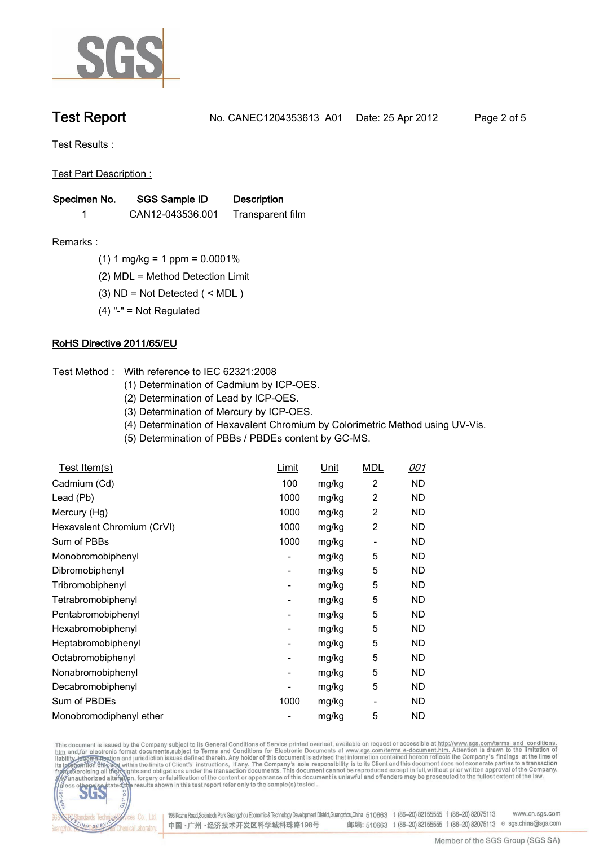

**Test Report. No. CANEC1204353613 A01 Date: 25 Apr 2012. Page 2 of 5.**

**Test Results :.**

**Test Part Description :.**

| Specimen No. | SGS Sample ID    | <b>Description</b> |  |
|--------------|------------------|--------------------|--|
|              | CAN12-043536.001 | Transparent film   |  |

- **Remarks :.(1) 1 mg/kg = 1 ppm = 0.0001%.**
	- **(2) MDL = Method Detection Limit.**
	- **(3) ND = Not Detected ( < MDL ).**
	- **(4) "-" = Not Regulated.**

## **RoHS Directive 2011/65/EU.**

- **Test Method :. With reference to IEC 62321:2008**
	- **(1) Determination of Cadmium by ICP-OES.**
	- **(2) Determination of Lead by ICP-OES.**
	- **(3) Determination of Mercury by ICP-OES.**
	- **(4) Determination of Hexavalent Chromium by Colorimetric Method using UV-Vis.**
	- **(5) Determination of PBBs / PBDEs content by GC-MS..**

| <u>Test Item(s)</u>        | <u>Limit</u>             | <u>Unit</u> | <b>MDL</b> | <u>001</u> |
|----------------------------|--------------------------|-------------|------------|------------|
| Cadmium (Cd)               | 100                      | mg/kg       | 2          | ND.        |
| Lead (Pb)                  | 1000                     | mg/kg       | 2          | ND         |
| Mercury (Hg)               | 1000                     | mg/kg       | 2          | ND         |
| Hexavalent Chromium (CrVI) | 1000                     | mg/kg       | 2          | ND         |
| Sum of PBBs                | 1000                     | mg/kg       |            | <b>ND</b>  |
| Monobromobiphenyl          | $\overline{\phantom{a}}$ | mg/kg       | 5          | ND         |
| Dibromobiphenyl            | -                        | mg/kg       | 5          | ND.        |
| Tribromobiphenyl           | -                        | mg/kg       | 5          | ND.        |
| Tetrabromobiphenyl         | $\overline{\phantom{a}}$ | mg/kg       | 5          | ND.        |
| Pentabromobiphenyl         | $\overline{\phantom{a}}$ | mg/kg       | 5          | ND         |
| Hexabromobiphenyl          | ۰                        | mg/kg       | 5          | ND         |
| Heptabromobiphenyl         | ۰                        | mg/kg       | 5          | ND         |
| Octabromobiphenyl          | ۰                        | mg/kg       | 5          | ND         |
| Nonabromobiphenyl          | $\overline{\phantom{a}}$ | mg/kg       | 5          | ND         |
| Decabromobiphenyl          |                          | mg/kg       | 5          | ND         |
| Sum of PBDEs               | 1000                     | mg/kg       | -          | ND         |
| Monobromodiphenyl ether    |                          | mg/kg       | 5          | <b>ND</b>  |

This document is issued by the Company subject to its General Conditions of Service printed overleaf, available on request or accessible at http://www.sgs.com/terms\_and\_conditions.<br>htm\_and,for electronic format documents,s



198 Kezhu Road,Scientech Park Guangzhou Economic & Technology Development District,Guangzhou,China 510663 t (86-20) 82155555 f (86-20) 82075113 www.cn.sgs.com 邮编: 510663 t (86-20) 82155555 f (86-20) 82075113 e sgs.china@sgs.com 中国·广州·经济技术开发区科学城科珠路198号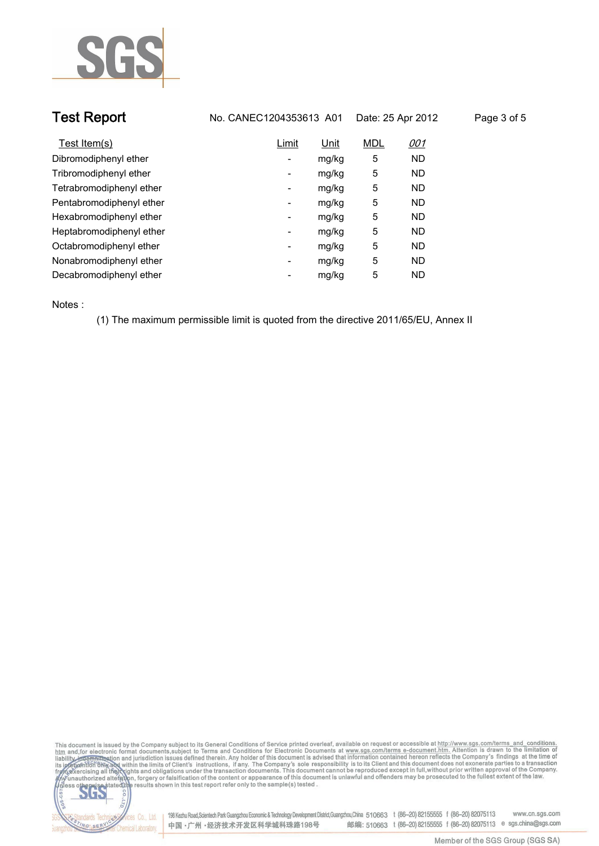

| <b>Test Report</b>       | No. CANEC1204353613 A01  |       | Date: 25 Apr 2012 |            | Page 3 of 5 |  |
|--------------------------|--------------------------|-------|-------------------|------------|-------------|--|
| Test Item(s)             | Limit                    | Unit  | <b>MDL</b>        | <u>001</u> |             |  |
| Dibromodiphenyl ether    | Ξ.                       | mg/kg | 5                 | <b>ND</b>  |             |  |
| Tribromodiphenyl ether   | -                        | mg/kg | 5                 | <b>ND</b>  |             |  |
| Tetrabromodiphenyl ether | ۰                        | mg/kg | 5                 | <b>ND</b>  |             |  |
| Pentabromodiphenyl ether | Ξ.                       | mg/kg | 5                 | <b>ND</b>  |             |  |
| Hexabromodiphenyl ether  | -                        | mg/kg | 5                 | <b>ND</b>  |             |  |
| Heptabromodiphenyl ether | $\overline{\phantom{a}}$ | mg/kg | 5                 | <b>ND</b>  |             |  |
| Octabromodiphenyl ether  | ۰                        | mg/kg | 5                 | ND         |             |  |
| Nonabromodiphenyl ether  | $\overline{\phantom{a}}$ | mg/kg | 5                 | <b>ND</b>  |             |  |
| Decabromodiphenyl ether  | -                        | mg/kg | 5                 | <b>ND</b>  |             |  |
|                          |                          |       |                   |            |             |  |

**Notes :.**

lards Te

ING SERY

Chemical Laboratory.

**(1) The maximum permissible limit is quoted from the directive 2011/65/EU, Annex II.**



onces Co., Ltd. | 198 Kezhu Road,Scientech Park Guangzhou Economic & Technology Development District,Guangzhou,China 510663 t (86–20) 82155555 f (86–20) 82075113 www.cn.sgs.com 邮编: 510663 t (86-20) 82155555 f (86-20) 82075113 e sgs.china@sgs.com 中国·广州·经济技术开发区科学城科珠路198号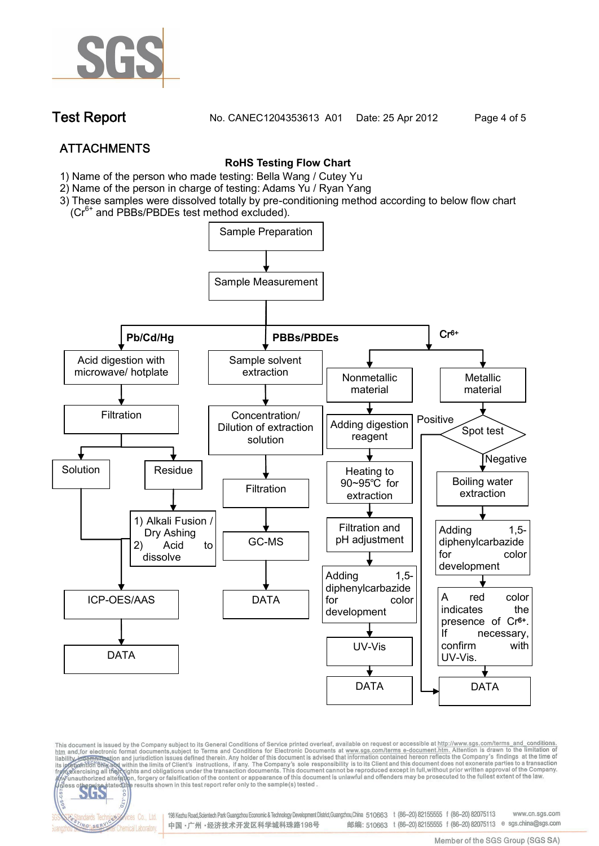

**Test Report. No. CANEC1204353613 A01 Date: 25 Apr 2012. Page 4 of 5.**

# **ATTACHMENTS**

### **RoHS Testing Flow Chart**

- **1)** Name of the person who made testing: Bella Wang / **Cutey Yu**
- 2) Name of the person in charge of testing: Adams Yu / **Ryan Yang**
- 3) These samples were dissolved totally by pre-conditioning method according to below flow chart
	- (Cr<sup>6+</sup> and PBBs/PBDEs test method excluded).

fices Co., Ltd.

NG SER



This document is issued by the Company subject to its General Conditions of Service printed overleaf, available on request or accessible at http://www.sgs.com/terms\_and\_conditions.<br>htm\_and,for electronic format documents,s

198 Kezhu Road,Scientech Park Guangzhou Economic & Technology Development District,Guangzhou,China 510663 t (86-20) 82155555 f (86-20) 82075113 www.cn.sas.com 邮编: 510663 t (86-20) 82155555 f (86-20) 82075113 e sgs.china@sgs.com 中国·广州·经济技术开发区科学城科珠路198号